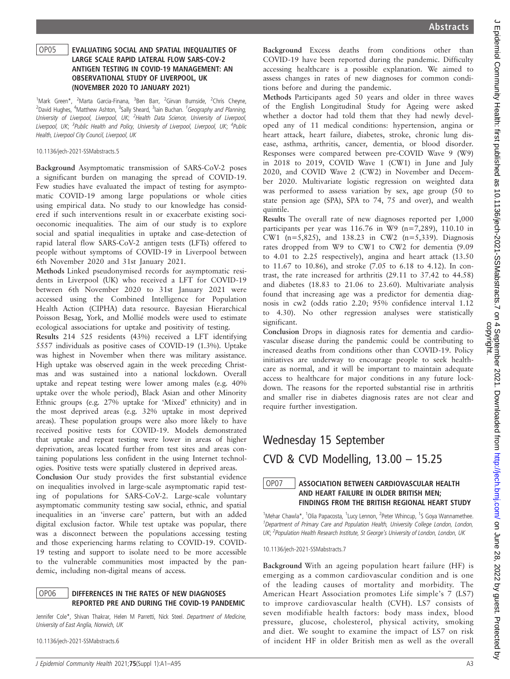#### OP05 EVALUATING SOCIAL AND SPATIAL INEQUALITIES OF LARGE SCALE RAPID LATERAL FLOW SARS-COV-2 ANTIGEN TESTING IN COVID-19 MANAGEMENT: AN OBSERVATIONAL STUDY OF LIVERPOOL, UK (NOVEMBER 2020 TO JANUARY 2021)

<sup>1</sup>Mark Green\*, <sup>2</sup>Marta Garcia-Finana, <sup>3</sup>Ben Barr, <sup>2</sup>Girvan Burnside, <sup>2</sup>Chris Cheyne, <sup>2</sup>David Hughes, <sup>4</sup>Matthew Ashton, <sup>3</sup>Sally Sheard, <sup>3</sup>lain Buchan. <sup>1</sup>Geography and Planning, University of Liverpool, Liverpool, UK; <sup>2</sup>Health Data Science, University of Liverpool, Liverpool, UK; <sup>3</sup>Public Health and Policy, University of Liverpool, Liverpool, UK; <sup>4</sup>Public Health, Liverpool City Council, Liverpool, UK

10.1136/jech-2021-SSMabstracts.5

Background Asymptomatic transmission of SARS-CoV-2 poses a significant burden on managing the spread of COVID-19. Few studies have evaluated the impact of testing for asymptomatic COVID-19 among large populations or whole cities using empirical data. No study to our knowledge has considered if such interventions result in or exacerbate existing socioeconomic inequalities. The aim of our study is to explore social and spatial inequalities in uptake and case-detection of rapid lateral flow SARS-CoV-2 antigen tests (LFTs) offered to people without symptoms of COVID-19 in Liverpool between 6th November 2020 and 31st January 2021.

Methods Linked pseudonymised records for asymptomatic residents in Liverpool (UK) who received a LFT for COVID-19 between 6th November 2020 to 31st January 2021 were accessed using the Combined Intelligence for Population Health Action (CIPHA) data resource. Bayesian Hierarchical Poisson Besag, York, and Mollié models were used to estimate ecological associations for uptake and positivity of testing.

Results 214 525 residents (43%) received a LFT identifying 5557 individuals as positive cases of COVID-19 (1.3%). Uptake was highest in November when there was military assistance. High uptake was observed again in the week preceding Christmas and was sustained into a national lockdown. Overall uptake and repeat testing were lower among males (e.g. 40% uptake over the whole period), Black Asian and other Minority Ethnic groups (e.g. 27% uptake for 'Mixed' ethnicity) and in the most deprived areas (e.g. 32% uptake in most deprived areas). These population groups were also more likely to have received positive tests for COVID-19. Models demonstrated that uptake and repeat testing were lower in areas of higher deprivation, areas located further from test sites and areas containing populations less confident in the using Internet technologies. Positive tests were spatially clustered in deprived areas.

Conclusion Our study provides the first substantial evidence on inequalities involved in large-scale asymptomatic rapid testing of populations for SARS-CoV-2. Large-scale voluntary asymptomatic community testing saw social, ethnic, and spatial inequalities in an 'inverse care' pattern, but with an added digital exclusion factor. While test uptake was popular, there was a disconnect between the populations accessing testing and those experiencing harms relating to COVID-19. COVID-19 testing and support to isolate need to be more accessible to the vulnerable communities most impacted by the pandemic, including non-digital means of access.

## OP06 DIFFERENCES IN THE RATES OF NEW DIAGNOSES REPORTED PRE AND DURING THE COVID-19 PANDEMIC

Jennifer Cole\*, Shivan Thakrar, Helen M Parretti, Nick Steel. Department of Medicine, University of East Anglia, Norwich, UK

10.1136/jech-2021-SSMabstracts.6

Background Excess deaths from conditions other than COVID-19 have been reported during the pandemic. Difficulty accessing healthcare is a possible explanation. We aimed to assess changes in rates of new diagnoses for common conditions before and during the pandemic.

Methods Participants aged 50 years and older in three waves of the English Longitudinal Study for Ageing were asked whether a doctor had told them that they had newly developed any of 11 medical conditions: hypertension, angina or heart attack, heart failure, diabetes, stroke, chronic lung disease, asthma, arthritis, cancer, dementia, or blood disorder. Responses were compared between pre-COVID Wave 9 (W9) in 2018 to 2019, COVID Wave 1 (CW1) in June and July 2020, and COVID Wave 2 (CW2) in November and December 2020. Multivariate logistic regression on weighted data was performed to assess variation by sex, age group (50 to state pension age (SPA), SPA to 74, 75 and over), and wealth quintile.

Results The overall rate of new diagnoses reported per 1,000 participants per year was  $116.76$  in W9 (n=7,289), 110.10 in CW1 ( $n=5,825$ ), and 138.23 in CW2 ( $n=5,339$ ). Diagnosis rates dropped from W9 to CW1 to CW2 for dementia (9.09 to 4.01 to 2.25 respectively), angina and heart attack (13.50 to 11.67 to 10.86), and stroke (7.05 to 6.18 to 4.12). In contrast, the rate increased for arthritis (29.11 to 37.42 to 44.58) and diabetes (18.83 to 21.06 to 23.60). Multivariate analysis found that increasing age was a predictor for dementia diagnosis in cw2 (odds ratio 2.20; 95% confidence interval 1.12 to 4.30). No other regression analyses were statistically significant.

Conclusion Drops in diagnosis rates for dementia and cardiovascular disease during the pandemic could be contributing to increased deaths from conditions other than COVID-19. Policy initiatives are underway to encourage people to seek healthcare as normal, and it will be important to maintain adequate access to healthcare for major conditions in any future lockdown. The reasons for the reported substantial rise in arthritis and smaller rise in diabetes diagnosis rates are not clear and require further investigation.

# Wednesday 15 September

CVD & CVD Modelling, 13.00 – 15.25

## OP07 ASSOCIATION BETWEEN CARDIOVASCULAR HEALTH AND HEART FAILURE IN OLDER BRITISH MEN; FINDINGS FROM THE BRITISH REGIONAL HEART STUDY

<sup>1</sup>Mehar Chawla\*, <sup>1</sup>Olia Papacosta, <sup>1</sup>Lucy Lennon, <sup>2</sup>Peter Whincup, <sup>1</sup>S Goya Wannamethee. <sup>1</sup>Department of Primary Care and Population Health, University College London, London, UK; <sup>2</sup>Population Health Research Institute, St George's University of London, London, UK

10.1136/jech-2021-SSMabstracts.7

Background With an ageing population heart failure (HF) is emerging as a common cardiovascular condition and is one of the leading causes of mortality and morbidity. The American Heart Association promotes Life simple's 7 (LS7) to improve cardiovascular health (CVH). LS7 consists of seven modifiable health factors: body mass index, blood pressure, glucose, cholesterol, physical activity, smoking and diet. We sought to examine the impact of LS7 on risk of incident HF in older British men as well as the overall